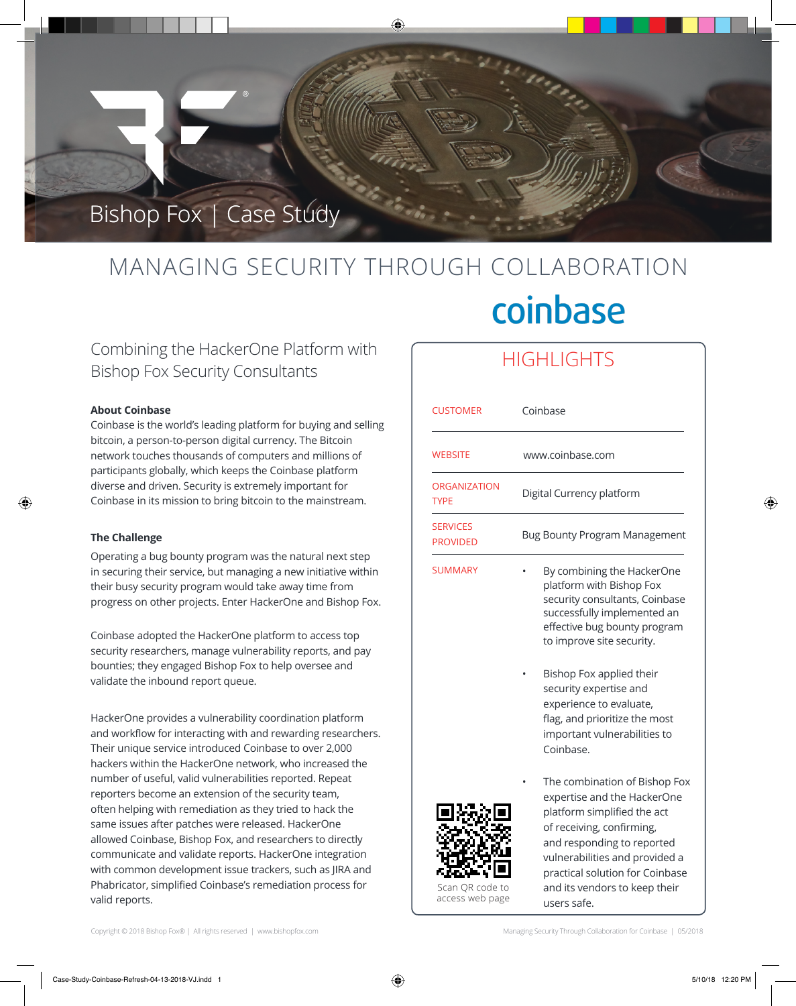

# MANAGING SECURITY THROUGH COLLABORATION coinbase

# Combining the HackerOne Platform with Bishop Fox Security Consultants

# **About Coinbase**

Coinbase is the world's leading platform for buying and selling bitcoin, a person-to-person digital currency. The Bitcoin network touches thousands of computers and millions of participants globally, which keeps the Coinbase platform diverse and driven. Security is extremely important for Coinbase in its mission to bring bitcoin to the mainstream.

# **The Challenge**

⊕

Operating a bug bounty program was the natural next step in securing their service, but managing a new initiative within their busy security program would take away time from progress on other projects. Enter HackerOne and Bishop Fox.

Coinbase adopted the HackerOne platform to access top security researchers, manage vulnerability reports, and pay bounties; they engaged Bishop Fox to help oversee and validate the inbound report queue.

/ Phabricator, simplified Coinbase's remediation process for HackerOne provides a vulnerability coordination platform and workflow for interacting with and rewarding researchers. Their unique service introduced Coinbase to over 2,000 hackers within the HackerOne network, who increased the number of useful, valid vulnerabilities reported. Repeat reporters become an extension of the security team, often helping with remediation as they tried to hack the same issues after patches were released. HackerOne allowed Coinbase, Bishop Fox, and researchers to directly communicate and validate reports. HackerOne integration with common development issue trackers, such as JIRA and valid reports.

# **HIGHLIGHTS**

| <b>CUSTOMER</b>                    | Coinbase                                                                                                                                                                                                                                                     |
|------------------------------------|--------------------------------------------------------------------------------------------------------------------------------------------------------------------------------------------------------------------------------------------------------------|
| <b>WEBSITE</b>                     | www.coinbase.com                                                                                                                                                                                                                                             |
| <b>ORGANIZATION</b><br><b>TYPE</b> | Digital Currency platform                                                                                                                                                                                                                                    |
| <b>SERVICES</b><br><b>PROVIDED</b> | <b>Bug Bounty Program Management</b>                                                                                                                                                                                                                         |
| <b>SUMMARY</b>                     | By combining the HackerOne<br>platform with Bishop Fox<br>security consultants, Coinbase<br>successfully implemented an<br>effective bug bounty program<br>to improve site security.<br>Bishop Fox applied their                                             |
|                                    | security expertise and<br>experience to evaluate,<br>flag, and prioritize the most<br>important vulnerabilities to<br>Coinbase.                                                                                                                              |
| Scan QR code to                    | The combination of Bishop Fox<br>expertise and the HackerOne<br>platform simplified the act<br>of receiving, confirming,<br>and responding to reported<br>vulnerabilities and provided a<br>practical solution for Coinbase<br>and its vendors to keep their |

Scan QR code to access web page

Copyright © 2018 Bishop Fox® | All rights reserved | www.bishopfox.com Managing Security Through Collaboration for Coinbase | 05/2018

users safe.

⊕